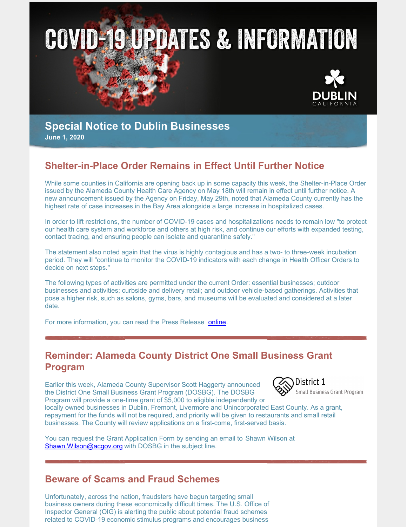



# **Special Notice to Dublin Businesses**

**June 1, 2020**

## **Shelter-in-Place Order Remains in Effect Until Further Notice**

While some counties in California are opening back up in some capacity this week, the Shelter-in-Place Order issued by the Alameda County Health Care Agency on May 18th will remain in effect until further notice. A new announcement issued by the Agency on Friday, May 29th, noted that Alameda County currently has the highest rate of case increases in the Bay Area alongside a large increase in hospitalized cases.

In order to lift restrictions, the number of COVID-19 cases and hospitalizations needs to remain low "to protect our health care system and workforce and others at high risk, and continue our efforts with expanded testing, contact tracing, and ensuring people can isolate and quarantine safely."

The statement also noted again that the virus is highly contagious and has a two- to three-week incubation period. They will "continue to monitor the COVID-19 indicators with each change in Health Officer Orders to decide on next steps."

The following types of activities are permitted under the current Order: essential businesses; outdoor businesses and activities; curbside and delivery retail; and outdoor vehicle-based gatherings. Activities that pose a higher risk, such as salons, gyms, bars, and museums will be evaluated and considered at a later date.

For more information, you can read the Press Release [online](https://dublin.ca.gov/DocumentCenter/View/22801/COVID-19-Alameda-County-Health-Care-Services-Agency-Statement-on-Reopening-and-Health-Officer-Orders-_52920_FINAL).

## **Reminder: Alameda County District One Small Business Grant Program**

Earlier this week, Alameda County Supervisor Scott Haggerty announced the District One Small Business Grant Program (DOSBG). The DOSBG Program will provide a one-time grant of \$5,000 to eligible independently or



locally owned businesses in Dublin, Fremont, Livermore and Unincorporated East County. As a grant, repayment for the funds will not be required, and priority will be given to restaurants and small retail businesses. The County will review applications on a first-come, first-served basis.

You can request the Grant Application Form by sending an email to Shawn Wilson at Shawn. Wilson@acgov.org with DOSBG in the subject line.

### **Beware of Scams and Fraud Schemes**

Unfortunately, across the nation, fraudsters have begun targeting small business owners during these economically difficult times. The U.S. Office of Inspector General (OIG) is alerting the public about potential fraud schemes related to COVID-19 economic stimulus programs and encourages business